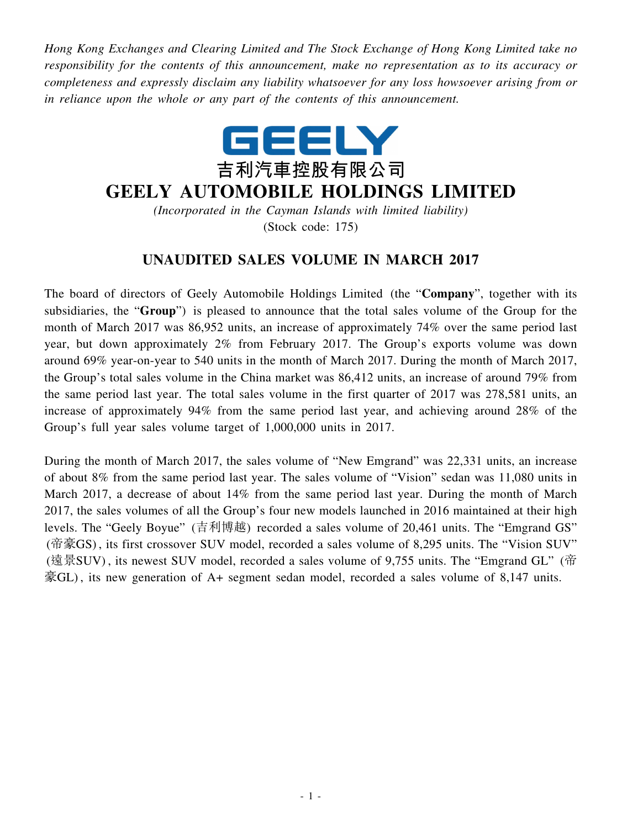*Hong Kong Exchanges and Clearing Limited and The Stock Exchange of Hong Kong Limited take no responsibility for the contents of this announcement, make no representation as to its accuracy or completeness and expressly disclaim any liability whatsoever for any loss howsoever arising from or in reliance upon the whole or any part of the contents of this announcement.*



## **GEELY AUTOMOBILE HOLDINGS LIMITED**

*(Incorporated in the Cayman Islands with limited liability)* (Stock code: 175)

## **UNAUDITED SALES VOLUME IN MARCH 2017**

The board of directors of Geely Automobile Holdings Limited (the "**Company**", together with its subsidiaries, the "**Group**") is pleased to announce that the total sales volume of the Group for the month of March 2017 was 86,952 units, an increase of approximately 74% over the same period last year, but down approximately 2% from February 2017. The Group's exports volume was down around 69% year-on-year to 540 units in the month of March 2017. During the month of March 2017, the Group's total sales volume in the China market was 86,412 units, an increase of around 79% from the same period last year. The total sales volume in the first quarter of 2017 was 278,581 units, an increase of approximately 94% from the same period last year, and achieving around 28% of the Group's full year sales volume target of 1,000,000 units in 2017.

During the month of March 2017, the sales volume of "New Emgrand" was 22,331 units, an increase of about 8% from the same period last year. The sales volume of "Vision" sedan was 11,080 units in March 2017, a decrease of about 14% from the same period last year. During the month of March 2017, the sales volumes of all the Group's four new models launched in 2016 maintained at their high levels. The "Geely Boyue" (吉利博越) recorded a sales volume of 20,461 units. The "Emgrand GS" (帝豪GS) , its first crossover SUV model, recorded a sales volume of 8,295 units. The "Vision SUV" (遠景SUV) , its newest SUV model, recorded a sales volume of 9,755 units. The "Emgrand GL" (帝 豪GL) , its new generation of A+ segment sedan model, recorded a sales volume of 8,147 units.